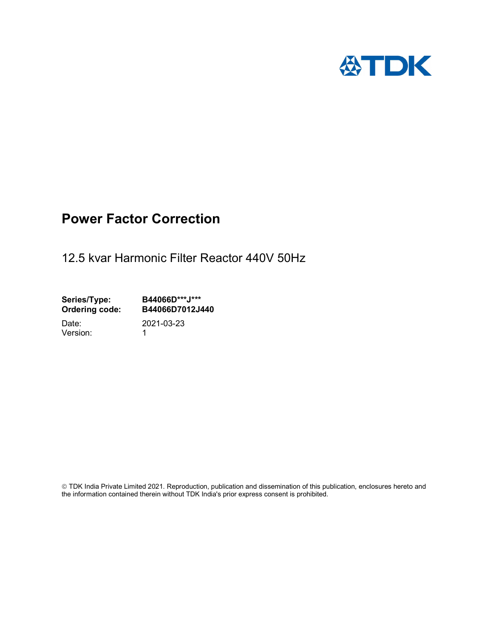

## Power Factor Correction

12.5 kvar Harmonic Filter Reactor 440V 50Hz

Series/Type: B44066D\*\*\*J\*\*\*<br>Ordering code: B44066D7012J4 B44066D7012J440 Date: 2021-03-23

Version: 1

 TDK India Private Limited 2021. Reproduction, publication and dissemination of this publication, enclosures hereto and the information contained therein without TDK India's prior express consent is prohibited.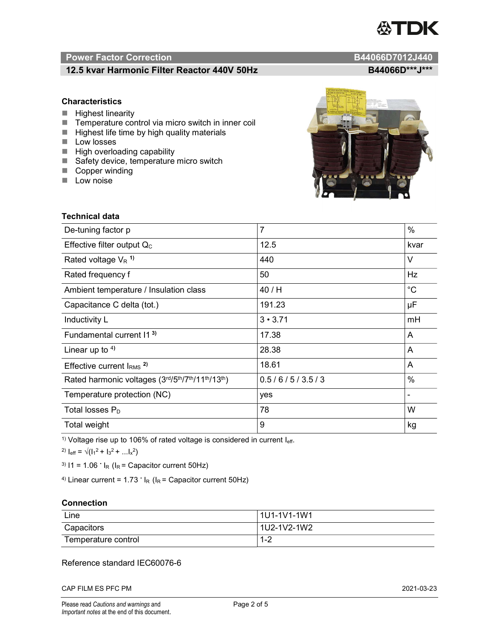# ITDK

### Power Factor Correction **B44066D7012J440**

### 12.5 kvar Harmonic Filter Reactor 440V 50Hz B44066D\*\*\*J\*\*\*

### **Characteristics**

- $\blacksquare$  Highest linearity
- Temperature control via micro switch in inner coil
- $\blacksquare$  Highest life time by high quality materials
- **Low losses**
- $\blacksquare$  High overloading capability
- Safety device, temperature micro switch
- Copper winding
- **Low noise**



<sup>1)</sup> Voltage rise up to 106% of rated voltage is considered in current  $I_{\text{eff}}$ .

<sup>2)</sup>  $I_{eff} = \sqrt{(I_1^2 + I_3^2 + ... I_x^2)}$ 

<sup>3)</sup>  $11 = 1.06$   $\cdot$   $I_R$  ( $I_R$  = Capacitor current 50Hz)

<sup>4)</sup> Linear current =  $1.73$   $\cdot$  I<sub>R</sub> (I<sub>R</sub> = Capacitor current 50Hz)

### **Connection**

| Line                | 1U1-1V1-1W1 |
|---------------------|-------------|
| Capacitors          | 1U2-1V2-1W2 |
| Temperature control | י -<br>ے- ا |

### Reference standard IEC60076-6

CAP FILM ES PFC PM 2021-03-23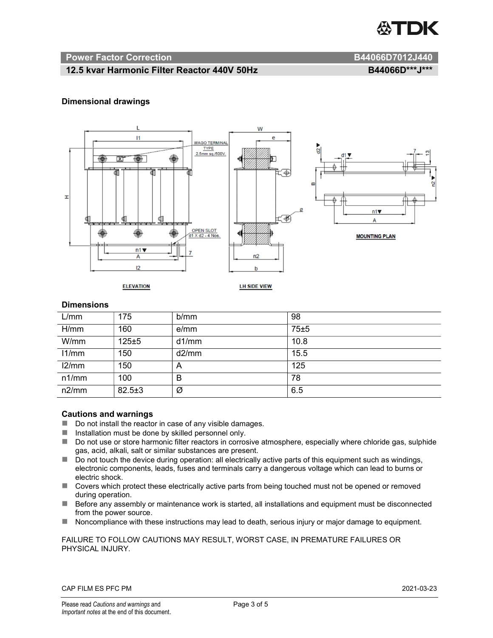

### Power Factor Correction and B44066D7012J440

### 12.5 kvar Harmonic Filter Reactor 440V 50Hz B44066D\*\*\*J\*\*\*

### Dimensional drawings



### **Dimensions**

| L/mm  | 175          | b/mm  | 98   |
|-------|--------------|-------|------|
| H/mm  | 160          | e/mm  | 75±5 |
| W/mm  | $125 + 5$    | d1/mm | 10.8 |
| 11/mm | 150          | d2/mm | 15.5 |
| 12/mm | 150          | A     | 125  |
| n1/mm | 100          | B     | 78   |
| n2/mm | $82.5 \pm 3$ | Ø     | 6.5  |

### Cautions and warnings

- Do not install the reactor in case of any visible damages.
- $\blacksquare$  Installation must be done by skilled personnel only.
- Do not use or store harmonic filter reactors in corrosive atmosphere, especially where chloride gas, sulphide gas, acid, alkali, salt or similar substances are present.
- $\Box$  Do not touch the device during operation: all electrically active parts of this equipment such as windings, electronic components, leads, fuses and terminals carry a dangerous voltage which can lead to burns or electric shock.
- Covers which protect these electrically active parts from being touched must not be opened or removed during operation.
- Before any assembly or maintenance work is started, all installations and equipment must be disconnected from the power source.
- Noncompliance with these instructions may lead to death, serious injury or major damage to equipment.

### FAILURE TO FOLLOW CAUTIONS MAY RESULT, WORST CASE, IN PREMATURE FAILURES OR PHYSICAL INJURY.

### CAP FILM ES PFC PM 2021-03-23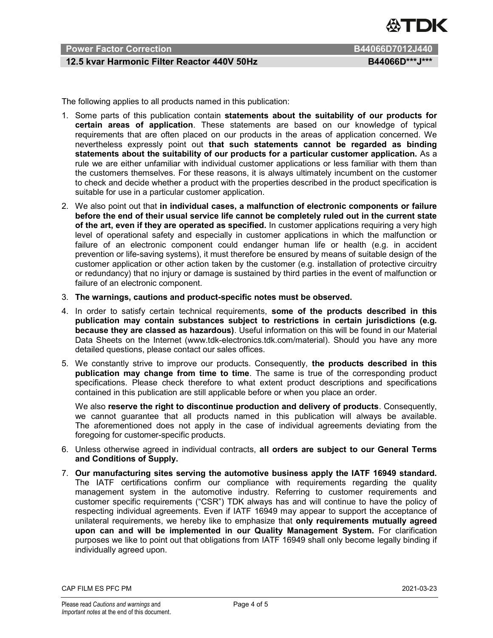

### Power Factor Correction **B44066D7012J440**

### 12.5 kvar Harmonic Filter Reactor 440V 50Hz B44066D\*\*\*J\*\*\*

The following applies to all products named in this publication:

- 1. Some parts of this publication contain statements about the suitability of our products for certain areas of application. These statements are based on our knowledge of typical requirements that are often placed on our products in the areas of application concerned. We nevertheless expressly point out that such statements cannot be regarded as binding statements about the suitability of our products for a particular customer application. As a rule we are either unfamiliar with individual customer applications or less familiar with them than the customers themselves. For these reasons, it is always ultimately incumbent on the customer to check and decide whether a product with the properties described in the product specification is suitable for use in a particular customer application.
- 2. We also point out that in individual cases, a malfunction of electronic components or failure before the end of their usual service life cannot be completely ruled out in the current state of the art, even if they are operated as specified. In customer applications requiring a very high level of operational safety and especially in customer applications in which the malfunction or failure of an electronic component could endanger human life or health (e.g. in accident prevention or life-saving systems), it must therefore be ensured by means of suitable design of the customer application or other action taken by the customer (e.g. installation of protective circuitry or redundancy) that no injury or damage is sustained by third parties in the event of malfunction or failure of an electronic component.
- 3. The warnings, cautions and product-specific notes must be observed.
- 4. In order to satisfy certain technical requirements, some of the products described in this publication may contain substances subject to restrictions in certain jurisdictions (e.g. because they are classed as hazardous). Useful information on this will be found in our Material Data Sheets on the Internet (www.tdk-electronics.tdk.com/material). Should you have any more detailed questions, please contact our sales offices.
- 5. We constantly strive to improve our products. Consequently, the products described in this publication may change from time to time. The same is true of the corresponding product specifications. Please check therefore to what extent product descriptions and specifications contained in this publication are still applicable before or when you place an order.

We also reserve the right to discontinue production and delivery of products. Consequently, we cannot guarantee that all products named in this publication will always be available. The aforementioned does not apply in the case of individual agreements deviating from the foregoing for customer-specific products.

- 6. Unless otherwise agreed in individual contracts, all orders are subject to our General Terms and Conditions of Supply.
- 7. Our manufacturing sites serving the automotive business apply the IATF 16949 standard. The IATF certifications confirm our compliance with requirements regarding the quality management system in the automotive industry. Referring to customer requirements and customer specific requirements ("CSR") TDK always has and will continue to have the policy of respecting individual agreements. Even if IATF 16949 may appear to support the acceptance of unilateral requirements, we hereby like to emphasize that only requirements mutually agreed upon can and will be implemented in our Quality Management System. For clarification purposes we like to point out that obligations from IATF 16949 shall only become legally binding if individually agreed upon.